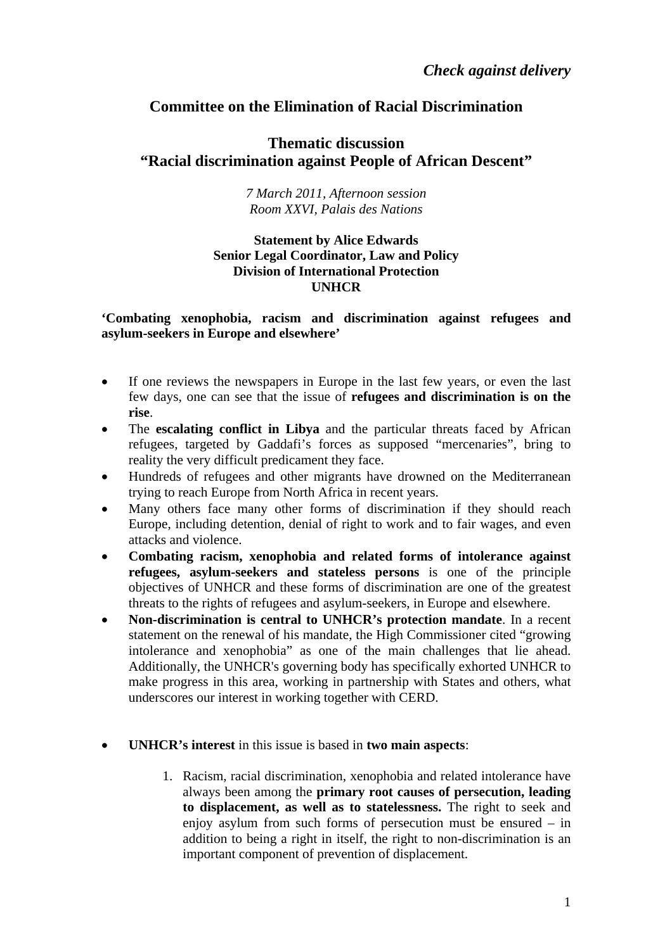# **Committee on the Elimination of Racial Discrimination**

## **Thematic discussion "Racial discrimination against People of African Descent"**

#### *7 March 2011, Afternoon session Room XXVI, Palais des Nations*

## **Statement by Alice Edwards Senior Legal Coordinator, Law and Policy Division of International Protection UNHCR**

## **'Combating xenophobia, racism and discrimination against refugees and asylum-seekers in Europe and elsewhere'**

- If one reviews the newspapers in Europe in the last few years, or even the last few days, one can see that the issue of **refugees and discrimination is on the rise**.
- The **escalating conflict in Libya** and the particular threats faced by African refugees, targeted by Gaddafi's forces as supposed "mercenaries", bring to reality the very difficult predicament they face.
- Hundreds of refugees and other migrants have drowned on the Mediterranean trying to reach Europe from North Africa in recent years.
- Many others face many other forms of discrimination if they should reach Europe, including detention, denial of right to work and to fair wages, and even attacks and violence.
- **Combating racism, xenophobia and related forms of intolerance against refugees, asylum-seekers and stateless persons** is one of the principle objectives of UNHCR and these forms of discrimination are one of the greatest threats to the rights of refugees and asylum-seekers, in Europe and elsewhere.
- **Non-discrimination is central to UNHCR's protection mandate**. In a recent statement on the renewal of his mandate, the High Commissioner cited "growing intolerance and xenophobia" as one of the main challenges that lie ahead. Additionally, the UNHCR's governing body has specifically exhorted UNHCR to make progress in this area, working in partnership with States and others, what underscores our interest in working together with CERD.
- **UNHCR's interest** in this issue is based in **two main aspects**:
	- 1. Racism, racial discrimination, xenophobia and related intolerance have always been among the **primary root causes of persecution, leading to displacement, as well as to statelessness.** The right to seek and enjoy asylum from such forms of persecution must be ensured – in addition to being a right in itself, the right to non-discrimination is an important component of prevention of displacement.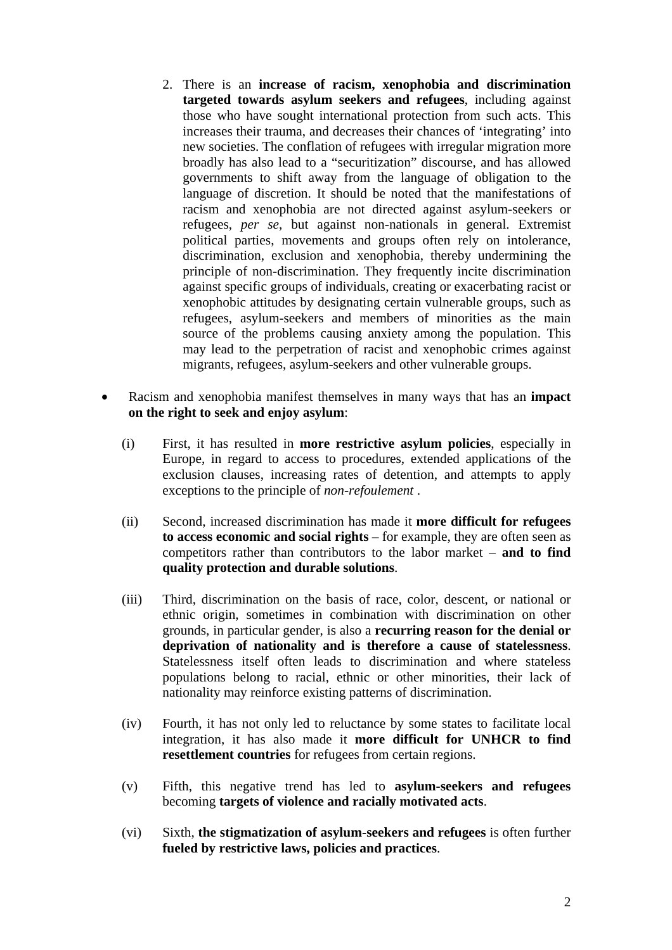- 2. There is an **increase of racism, xenophobia and discrimination targeted towards asylum seekers and refugees**, including against those who have sought international protection from such acts. This increases their trauma, and decreases their chances of 'integrating' into new societies. The conflation of refugees with irregular migration more broadly has also lead to a "securitization" discourse, and has allowed governments to shift away from the language of obligation to the language of discretion. It should be noted that the manifestations of racism and xenophobia are not directed against asylum-seekers or refugees, *per se*, but against non-nationals in general. Extremist political parties, movements and groups often rely on intolerance, discrimination, exclusion and xenophobia, thereby undermining the principle of non-discrimination. They frequently incite discrimination against specific groups of individuals, creating or exacerbating racist or xenophobic attitudes by designating certain vulnerable groups, such as refugees, asylum-seekers and members of minorities as the main source of the problems causing anxiety among the population. This may lead to the perpetration of racist and xenophobic crimes against migrants, refugees, asylum-seekers and other vulnerable groups.
- Racism and xenophobia manifest themselves in many ways that has an **impact on the right to seek and enjoy asylum**:
	- (i) First, it has resulted in **more restrictive asylum policies**, especially in Europe, in regard to access to procedures, extended applications of the exclusion clauses, increasing rates of detention, and attempts to apply exceptions to the principle of *non-refoulement* .
	- (ii) Second, increased discrimination has made it **more difficult for refugees to access economic and social rights** – for example, they are often seen as competitors rather than contributors to the labor market – **and to find quality protection and durable solutions**.
	- (iii) Third, discrimination on the basis of race, color, descent, or national or ethnic origin, sometimes in combination with discrimination on other grounds, in particular gender, is also a **recurring reason for the denial or deprivation of nationality and is therefore a cause of statelessness**. Statelessness itself often leads to discrimination and where stateless populations belong to racial, ethnic or other minorities, their lack of nationality may reinforce existing patterns of discrimination.
	- (iv) Fourth, it has not only led to reluctance by some states to facilitate local integration, it has also made it **more difficult for UNHCR to find resettlement countries** for refugees from certain regions.
	- (v) Fifth, this negative trend has led to **asylum-seekers and refugees** becoming **targets of violence and racially motivated acts**.
	- (vi) Sixth, **the stigmatization of asylum-seekers and refugees** is often further **fueled by restrictive laws, policies and practices**.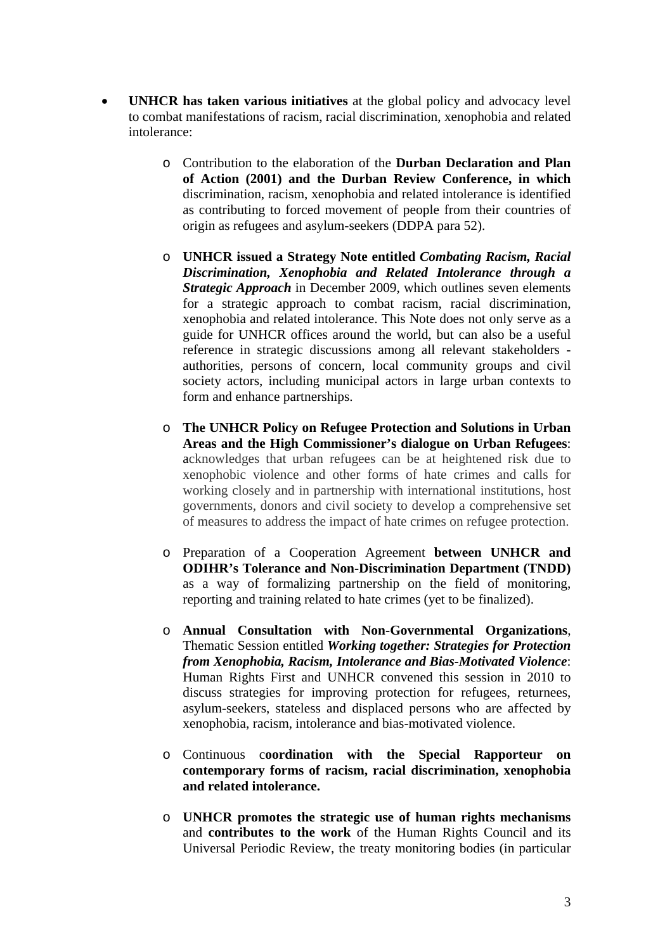- **UNHCR has taken various initiatives** at the global policy and advocacy level to combat manifestations of racism, racial discrimination, xenophobia and related intolerance:
	- o Contribution to the elaboration of the **Durban Declaration and Plan of Action (2001) and the Durban Review Conference, in which** discrimination, racism, xenophobia and related intolerance is identified as contributing to forced movement of people from their countries of origin as refugees and asylum-seekers (DDPA para 52).
	- o **UNHCR issued a Strategy Note entitled** *Combating Racism, Racial Discrimination, Xenophobia and Related Intolerance through a Strategic Approach* in December 2009, which outlines seven elements for a strategic approach to combat racism, racial discrimination, xenophobia and related intolerance. This Note does not only serve as a guide for UNHCR offices around the world, but can also be a useful reference in strategic discussions among all relevant stakeholders authorities, persons of concern, local community groups and civil society actors, including municipal actors in large urban contexts to form and enhance partnerships.
	- o **The UNHCR Policy on Refugee Protection and Solutions in Urban Areas and the High Commissioner's dialogue on Urban Refugees**: acknowledges that urban refugees can be at heightened risk due to xenophobic violence and other forms of hate crimes and calls for working closely and in partnership with international institutions, host governments, donors and civil society to develop a comprehensive set of measures to address the impact of hate crimes on refugee protection.
	- o Preparation of a Cooperation Agreement **between UNHCR and ODIHR's Tolerance and Non-Discrimination Department (TNDD)**  as a way of formalizing partnership on the field of monitoring, reporting and training related to hate crimes (yet to be finalized).
	- o **Annual Consultation with Non-Governmental Organizations**, Thematic Session entitled *Working together: Strategies for Protection from Xenophobia, Racism, Intolerance and Bias-Motivated Violence*: Human Rights First and UNHCR convened this session in 2010 to discuss strategies for improving protection for refugees, returnees, asylum-seekers, stateless and displaced persons who are affected by xenophobia, racism, intolerance and bias-motivated violence.
	- o Continuous c**oordination with the Special Rapporteur on contemporary forms of racism, racial discrimination, xenophobia and related intolerance.**
	- o **UNHCR promotes the strategic use of human rights mechanisms** and **contributes to the work** of the Human Rights Council and its Universal Periodic Review, the treaty monitoring bodies (in particular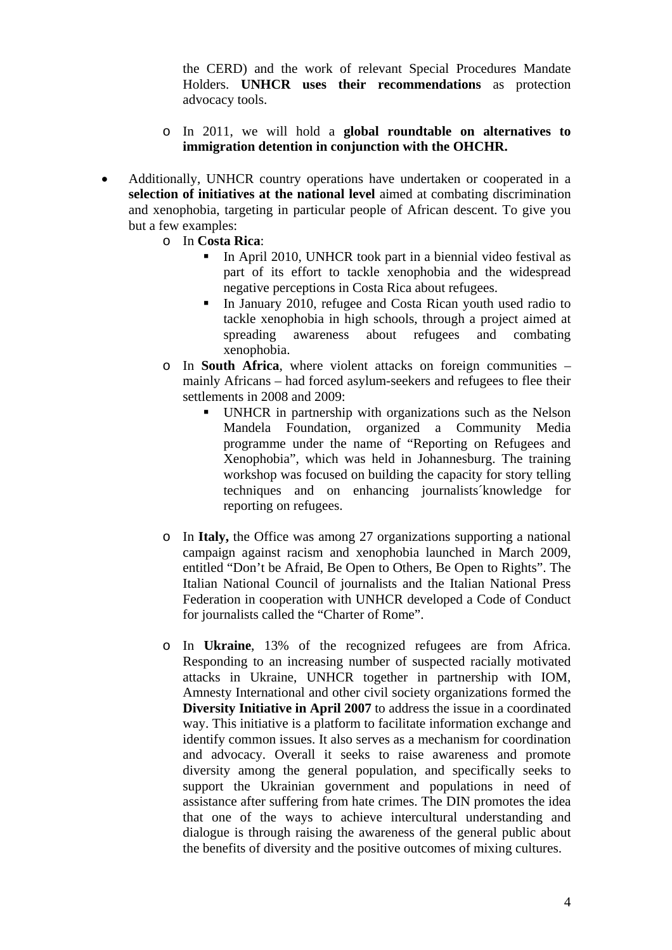the CERD) and the work of relevant Special Procedures Mandate Holders. **UNHCR uses their recommendations** as protection advocacy tools.

- o In 2011, we will hold a **global roundtable on alternatives to immigration detention in conjunction with the OHCHR.**
- Additionally, UNHCR country operations have undertaken or cooperated in a **selection of initiatives at the national level** aimed at combating discrimination and xenophobia, targeting in particular people of African descent. To give you but a few examples:
	- o In **Costa Rica**:
		- In April 2010, UNHCR took part in a biennial video festival as part of its effort to tackle xenophobia and the widespread negative perceptions in Costa Rica about refugees.
		- In January 2010, refugee and Costa Rican youth used radio to tackle xenophobia in high schools, through a project aimed at spreading awareness about refugees and combating xenophobia.
	- o In **South Africa**, where violent attacks on foreign communities mainly Africans – had forced asylum-seekers and refugees to flee their settlements in 2008 and 2009:
		- UNHCR in partnership with organizations such as the Nelson Mandela Foundation, organized a Community Media programme under the name of "Reporting on Refugees and Xenophobia", which was held in Johannesburg. The training workshop was focused on building the capacity for story telling techniques and on enhancing journalists´knowledge for reporting on refugees.
	- o In **Italy,** the Office was among 27 organizations supporting a national campaign against racism and xenophobia launched in March 2009, entitled "Don't be Afraid, Be Open to Others, Be Open to Rights". The Italian National Council of journalists and the Italian National Press Federation in cooperation with UNHCR developed a Code of Conduct for journalists called the "Charter of Rome".
	- o In **Ukraine**, 13% of the recognized refugees are from Africa. Responding to an increasing number of suspected racially motivated attacks in Ukraine, UNHCR together in partnership with IOM, Amnesty International and other civil society organizations formed the **Diversity Initiative in April 2007** to address the issue in a coordinated way. This initiative is a platform to facilitate information exchange and identify common issues. It also serves as a mechanism for coordination and advocacy. Overall it seeks to raise awareness and promote diversity among the general population, and specifically seeks to support the Ukrainian government and populations in need of assistance after suffering from hate crimes. The DIN promotes the idea that one of the ways to achieve intercultural understanding and dialogue is through raising the awareness of the general public about the benefits of diversity and the positive outcomes of mixing cultures.